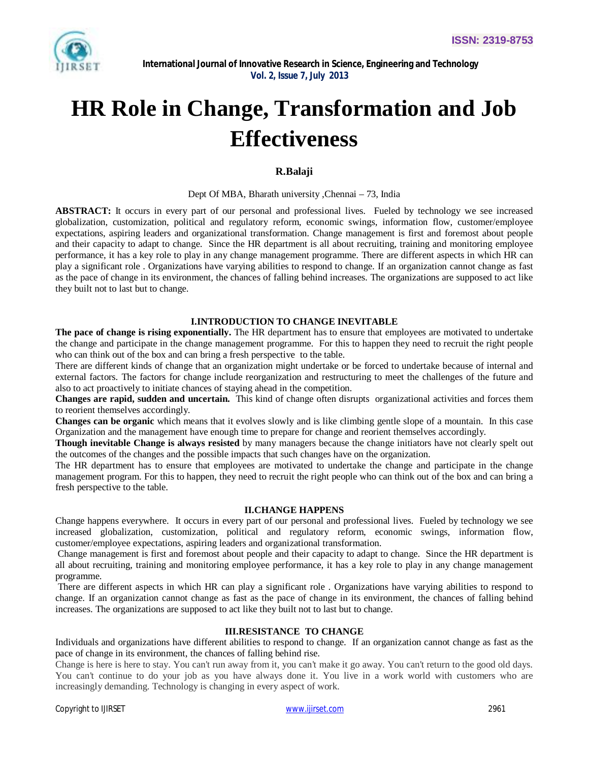

# **HR Role in Change, Transformation and Job Effectiveness**

# **R.Balaji**

#### Dept Of MBA, Bharath university ,Chennai – 73, India

**ABSTRACT:** It occurs in every part of our personal and professional lives. Fueled by technology we see increased globalization, customization, political and regulatory reform, economic swings, information flow, customer/employee expectations, aspiring leaders and organizational transformation. Change management is first and foremost about people and their capacity to adapt to change. Since the HR department is all about recruiting, training and monitoring employee performance, it has a key role to play in any change management programme. There are different aspects in which HR can play a significant role . Organizations have varying abilities to respond to change. If an organization cannot change as fast as the pace of change in its environment, the chances of falling behind increases. The organizations are supposed to act like they built not to last but to change.

#### **I.INTRODUCTION TO CHANGE INEVITABLE**

**The pace of change is rising exponentially.** The HR department has to ensure that employees are motivated to undertake the change and participate in the change management programme. For this to happen they need to recruit the right people who can think out of the box and can bring a fresh perspective to the table.

There are different kinds of change that an organization might undertake or be forced to undertake because of internal and external factors. The factors for change include reorganization and restructuring to meet the challenges of the future and also to act proactively to initiate chances of staying ahead in the competition.

**Changes are rapid, sudden and uncertain.** This kind of change often disrupts organizational activities and forces them to reorient themselves accordingly.

**Changes can be organic** which means that it evolves slowly and is like climbing gentle slope of a mountain. In this case Organization and the management have enough time to prepare for change and reorient themselves accordingly.

**Though inevitable Change is always resisted** by many managers because the change initiators have not clearly spelt out the outcomes of the changes and the possible impacts that such changes have on the organization.

The HR department has to ensure that employees are motivated to undertake the change and participate in the change management program. For this to happen, they need to recruit the right people who can think out of the box and can bring a fresh perspective to the table.

#### **II.CHANGE HAPPENS**

Change happens everywhere. It occurs in every part of our personal and professional lives. Fueled by technology we see increased globalization, customization, political and regulatory reform, economic swings, information flow, customer/employee expectations, aspiring leaders and organizational transformation.

Change management is first and foremost about people and their capacity to adapt to change. Since the HR department is all about recruiting, training and monitoring employee performance, it has a key role to play in any change management programme.

There are different aspects in which HR can play a significant role . Organizations have varying abilities to respond to change. If an organization cannot change as fast as the pace of change in its environment, the chances of falling behind increases. The organizations are supposed to act like they built not to last but to change.

# **III.RESISTANCE TO CHANGE**

Individuals and organizations have different abilities to respond to change. If an organization cannot change as fast as the pace of change in its environment, the chances of falling behind rise.

Change is here is here to stay. You can't run away from it, you can't make it go away. You can't return to the good old days. You can't continue to do your job as you have always done it. You live in a work world with customers who are increasingly demanding. Technology is changing in every aspect of work.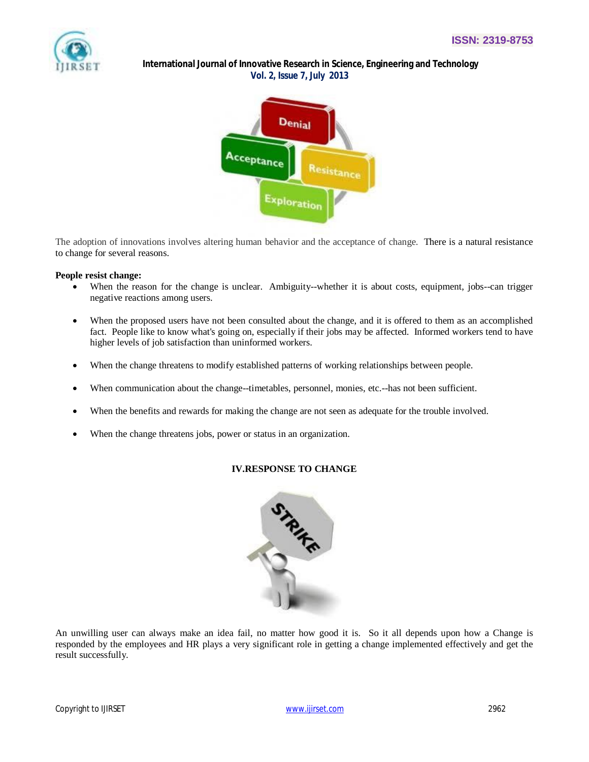

# **International Journal of Innovative Research in Science, Engineering and Technology**  *Vol. 2, Issue 7, July 2013*



The adoption of innovations involves altering human behavior and the acceptance of change. There is a natural resistance to change for several reasons.

# **People resist change:**

- When the reason for the change is unclear. Ambiguity--whether it is about costs, equipment, jobs--can trigger negative reactions among users.
- When the proposed users have not been consulted about the change, and it is offered to them as an accomplished fact. People like to know what's going on, especially if their jobs may be affected. Informed workers tend to have higher levels of job satisfaction than uninformed workers.
- When the change threatens to modify established patterns of working relationships between people.
- When communication about the change--timetables, personnel, monies, etc.--has not been sufficient.
- When the benefits and rewards for making the change are not seen as adequate for the trouble involved.
- When the change threatens jobs, power or status in an organization.

# **IV.RESPONSE TO CHANGE**



An unwilling user can always make an idea fail, no matter how good it is. So it all depends upon how a Change is responded by the employees and HR plays a very significant role in getting a change implemented effectively and get the result successfully.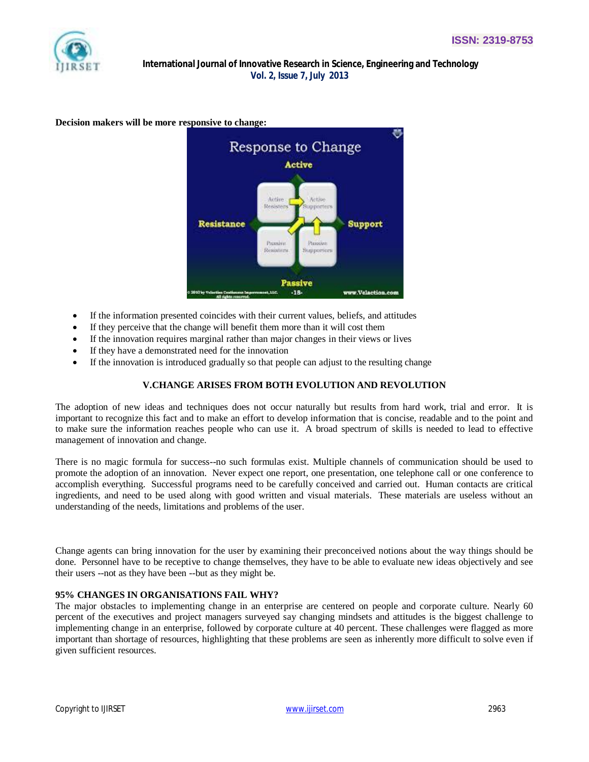# **International Journal of Innovative Research in Science, Engineering and Technology**  *Vol. 2, Issue 7, July 2013*

**Decision makers will be more responsive to change:**



- If the information presented coincides with their current values, beliefs, and attitudes
- If they perceive that the change will benefit them more than it will cost them
- If the innovation requires marginal rather than major changes in their views or lives
- If they have a demonstrated need for the innovation
- If the innovation is introduced gradually so that people can adjust to the resulting change

#### **V.CHANGE ARISES FROM BOTH EVOLUTION AND REVOLUTION**

The adoption of new ideas and techniques does not occur naturally but results from hard work, trial and error. It is important to recognize this fact and to make an effort to develop information that is concise, readable and to the point and to make sure the information reaches people who can use it. A broad spectrum of skills is needed to lead to effective management of innovation and change.

There is no magic formula for success--no such formulas exist. Multiple channels of communication should be used to promote the adoption of an innovation. Never expect one report, one presentation, one telephone call or one conference to accomplish everything. Successful programs need to be carefully conceived and carried out. Human contacts are critical ingredients, and need to be used along with good written and visual materials. These materials are useless without an understanding of the needs, limitations and problems of the user.

Change agents can bring innovation for the user by examining their preconceived notions about the way things should be done. Personnel have to be receptive to change themselves, they have to be able to evaluate new ideas objectively and see their users --not as they have been --but as they might be.

#### **95% CHANGES IN ORGANISATIONS FAIL WHY?**

The major obstacles to implementing change in an enterprise are centered on people and corporate culture. Nearly 60 percent of the executives and project managers surveyed say changing mindsets and attitudes is the biggest challenge to implementing change in an enterprise, followed by corporate culture at 40 percent. These challenges were flagged as more important than shortage of resources, highlighting that these problems are seen as inherently more difficult to solve even if given sufficient resources.